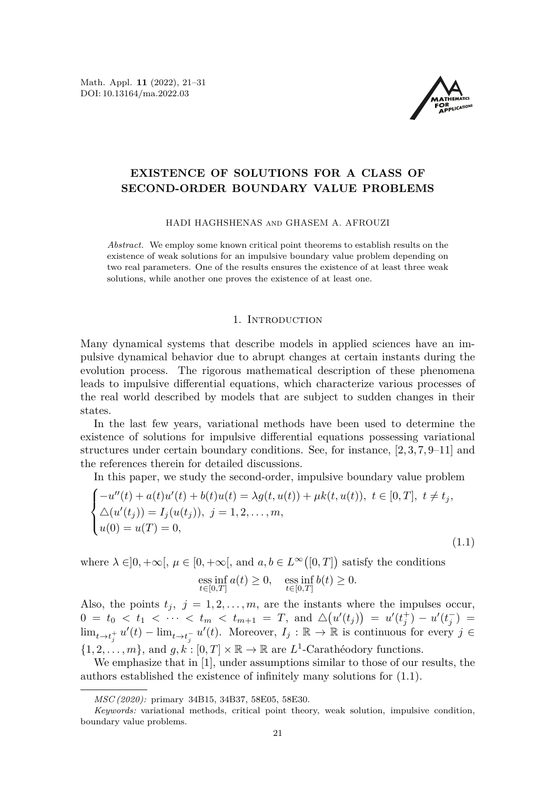Math. Appl. **11** (2022), 21[–31](#page-9-0) DOI: 10.13164/ma.2022.03



# **EXISTENCE OF SOLUTIONS FOR A CLASS OF SECOND-ORDER BOUNDARY VALUE PROBLEMS**

HADI HAGHSHENAS and GHASEM A. AFROUZI

*Abstract.* We employ some known critical point theorems to establish results on the existence of weak solutions for an impulsive boundary value problem depending on two real parameters. One of the results ensures the existence of at least three weak solutions, while another one proves the existence of at least one.

## 1. Introduction

Many dynamical systems that describe models in applied sciences have an impulsive dynamical behavior due to abrupt changes at certain instants during the evolution process. The rigorous mathematical description of these phenomena leads to impulsive differential equations, which characterize various processes of the real world described by models that are subject to sudden changes in their states.

In the last few years, variational methods have been used to determine the existence of solutions for impulsive differential equations possessing variational structures under certain boundary conditions. See, for instance, [\[2,](#page-9-1) [3,](#page-9-2) [7,](#page-9-3) [9](#page-9-4)[–11\]](#page-10-0) and the references therein for detailed discussions.

In this paper, we study the second-order, impulsive boundary value problem

$$
\begin{cases}\n-u''(t) + a(t)u'(t) + b(t)u(t) = \lambda g(t, u(t)) + \mu k(t, u(t)), \ t \in [0, T], \ t \neq t_j, \\
\Delta(u'(t_j)) = I_j(u(t_j)), \ j = 1, 2, \dots, m, \\
u(0) = u(T) = 0,\n\end{cases}
$$
\n(1.1)

where  $\lambda \in ]0, +\infty[$ ,  $\mu \in [0, +\infty[$ , and  $a, b \in L^{\infty}([0, T])$  satisfy the conditions

<span id="page-0-0"></span>
$$
\underset{t \in [0,T]}{\text{ess inf}} a(t) \ge 0, \quad \underset{t \in [0,T]}{\text{ess inf}} b(t) \ge 0.
$$

Also, the points  $t_j$ ,  $j = 1, 2, \ldots, m$ , are the instants where the impulses occur, 0 =  $t_0 < t_1 < \cdots < t_m < t_{m+1} = T$ , and  $\Delta(u'(t_j)) = u'(t_j^+) - u'(t_j^-) =$  $\lim_{t\to t_j^+} u'(t) - \lim_{t\to t_j^-} u'(t)$ . Moreover,  $I_j: \mathbb{R} \to \mathbb{R}$  is continuous for every *j* ∈  $\{1, 2, \ldots, m\}$ , and  $g, k : [0, T] \times \mathbb{R} \to \mathbb{R}$  are  $L^1$ -Carathéodory functions.

We emphasize that in [\[1\]](#page-9-5), under assumptions similar to those of our results, the authors established the existence of infinitely many solutions for [\(1.1\)](#page-0-0).

*MSC (2020):* primary 34B15, 34B37, 58E05, 58E30.

*Keywords:* variational methods, critical point theory, weak solution, impulsive condition, boundary value problems.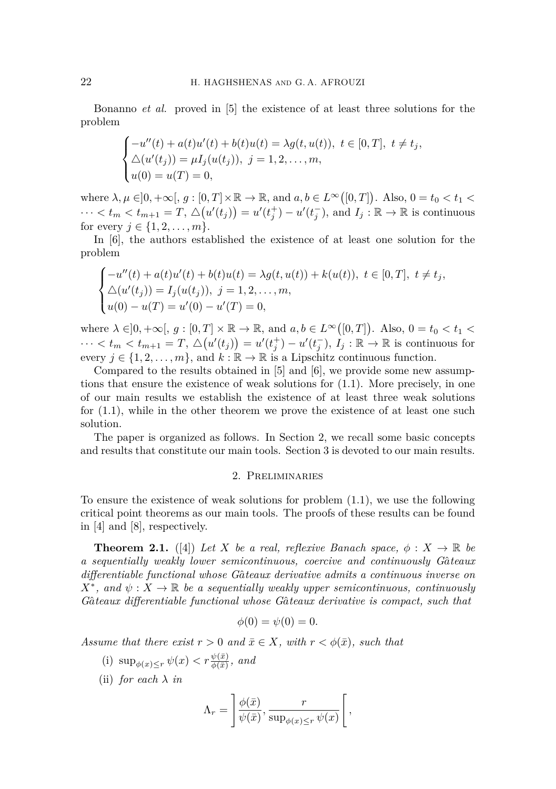Bonanno *et al.* proved in [\[5\]](#page-9-6) the existence of at least three solutions for the problem

$$
\begin{cases}\n-u''(t) + a(t)u'(t) + b(t)u(t) = \lambda g(t, u(t)), \ t \in [0, T], \ t \neq t_j, \\
\Delta(u'(t_j)) = \mu I_j(u(t_j)), \ j = 1, 2, \dots, m, \\
u(0) = u(T) = 0,\n\end{cases}
$$

where  $\lambda, \mu \in ]0, +\infty[, g : [0, T] \times \mathbb{R} \to \mathbb{R}$ , and  $a, b \in L^{\infty}([0, T])$ . Also,  $0 = t_0 < t_1 <$  $\cdots < t_m < t_{m+1} = T$ ,  $\Delta(u'(t_j)) = u'(t_j^+) - u'(t_j^-)$ , and  $I_j : \mathbb{R} \to \mathbb{R}$  is continuous for every  $j \in \{1, 2, ..., m\}$ .

In [\[6\]](#page-9-7), the authors established the existence of at least one solution for the problem

$$
\begin{cases}\n-u''(t) + a(t)u'(t) + b(t)u(t) = \lambda g(t, u(t)) + k(u(t)), \ t \in [0, T], \ t \neq t_j, \\
\Delta(u'(t_j)) = I_j(u(t_j)), \ j = 1, 2, \dots, m, \\
u(0) - u(T) = u'(0) - u'(T) = 0,\n\end{cases}
$$

where  $\lambda \in ]0, +\infty[, g : [0, T] \times \mathbb{R} \to \mathbb{R}$ , and  $a, b \in L^{\infty}([0, T])$ . Also,  $0 = t_0 < t_1 <$  $\cdots < t_m < t_{m+1} = T$ ,  $\Delta(u'(t_j)) = u'(t_j^+) - u'(t_j^-)$ ,  $I_j : \mathbb{R} \to \mathbb{R}$  is continuous for every  $j \in \{1, 2, \ldots, m\}$ , and  $k : \mathbb{R} \to \mathbb{R}$  is a Lipschitz continuous function.

Compared to the results obtained in [\[5\]](#page-9-6) and [\[6\]](#page-9-7), we provide some new assumptions that ensure the existence of weak solutions for [\(1.1\)](#page-0-0). More precisely, in one of our main results we establish the existence of at least three weak solutions for [\(1.1\)](#page-0-0), while in the other theorem we prove the existence of at least one such solution.

The paper is organized as follows. In Section 2, we recall some basic concepts and results that constitute our main tools. Section 3 is devoted to our main results.

## 2. Preliminaries

To ensure the existence of weak solutions for problem [\(1.1\)](#page-0-0), we use the following critical point theorems as our main tools. The proofs of these results can be found in [\[4\]](#page-9-8) and [\[8\]](#page-9-9), respectively.

<span id="page-1-0"></span>**Theorem 2.1.** ([\[4\]](#page-9-8)) Let *X* be a real, reflexive Banach space,  $\phi: X \to \mathbb{R}$  be *a sequentially weakly lower semicontinuous, coercive and continuously Ga*ˆ*teaux differentiable functional whose Ga*ˆ*teaux derivative admits a continuous inverse on*  $X^*$ , and  $\psi: X \to \mathbb{R}$  be a sequentially weakly upper semicontinuous, continuously *Ga*ˆ*teaux differentiable functional whose Ga*ˆ*teaux derivative is compact, such that*

$$
\phi(0) = \psi(0) = 0.
$$

*Assume that there exist*  $r > 0$  *and*  $\bar{x} \in X$ *, with*  $r < \phi(\bar{x})$ *, such that* 

- (i)  $\sup_{\phi(x)\leq r} \psi(x) < r \frac{\psi(\bar{x})}{\phi(\bar{x})}, \text{ and}$
- (ii) *for each λ in*

$$
\Lambda_r = \left[ \frac{\phi(\bar{x})}{\psi(\bar{x})}, \frac{r}{\sup_{\phi(x) \le r} \psi(x)} \right],
$$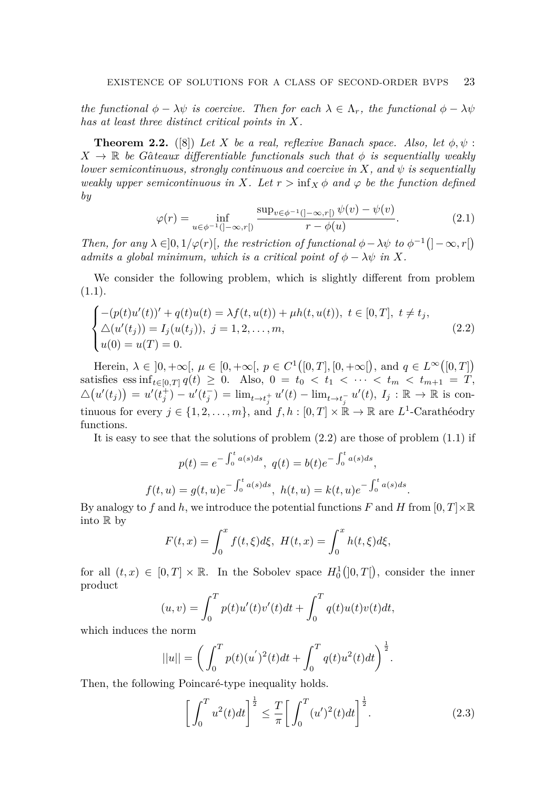*the functional*  $\phi - \lambda \psi$  *is coercive. Then for each*  $\lambda \in \Lambda_r$ *, the functional*  $\phi - \lambda \psi$ *has at least three distinct critical points in X.*

<span id="page-2-2"></span>**Theorem 2.2.** ([\[8\]](#page-9-9)) Let *X* be a real, reflexive Banach space. Also, let  $\phi, \psi$ :  $X \rightarrow \mathbb{R}$  *be Gâteaux differentiable functionals such that*  $\phi$  *is sequentially weakly lower semicontinuous, strongly continuous and coercive in*  $X$ *, and*  $\psi$  *is sequentially weakly upper semicontinuous in X.* Let  $r > inf_X \phi$  and  $\varphi$  be the function defined *by*

<span id="page-2-3"></span>
$$
\varphi(r) = \inf_{u \in \phi^{-1}(]-\infty, r[)} \frac{\sup_{v \in \phi^{-1}(]-\infty, r[)} \psi(v) - \psi(v)}{r - \phi(u)}.
$$
\n(2.1)

*Then, for any*  $\lambda \in ]0, 1/\varphi(r)]$ *, the restriction of functional*  $\phi - \lambda \psi$  *to*  $\phi^{-1}(]-\infty, r[)$ *admits a global minimum, which is a critical point of*  $\phi - \lambda \psi$  *in X.* 

We consider the following problem, which is slightly different from problem  $(1.1).$  $(1.1).$ 

$$
\begin{cases}\n-(p(t)u'(t))' + q(t)u(t) = \lambda f(t, u(t)) + \mu h(t, u(t)), \ t \in [0, T], \ t \neq t_j, \\
\Delta(u'(t_j)) = I_j(u(t_j)), \ j = 1, 2, \dots, m, \\
u(0) = u(T) = 0.\n\end{cases}
$$
\n(2.2)

Herein,  $\lambda \in [0, +\infty[, \mu \in [0, +\infty[, p \in C^1([0, T], [0, +\infty]), \text{ and } q \in L^{\infty}([0, T])$ satisfies ess inf<sub>*t*∈[0,*T*]  $q(t) \ge 0$ . Also,  $0 = t_0 < t_1 < \cdots < t_m < t_{m+1} = T$ ,</sub>  $\Delta(u'(t_j)) = u'(t_j^+) - u'(t_j^-) = \lim_{t \to t_j^+} u'(t) - \lim_{t \to t_j^-} u'(t), I_j : \mathbb{R} \to \mathbb{R}$  is continuous for every  $j \in \{1, 2, \ldots, m\}$ , and  $f, h : [0, T] \times \mathbb{R} \to \mathbb{R}$  are  $L^1$ -Carathéodry functions.

It is easy to see that the solutions of problem  $(2.2)$  are those of problem  $(1.1)$  if

$$
p(t) = e^{-\int_0^t a(s)ds}, q(t) = b(t)e^{-\int_0^t a(s)ds},
$$
  

$$
f(t, u) = g(t, u)e^{-\int_0^t a(s)ds}, h(t, u) = k(t, u)e^{-\int_0^t a(s)ds}
$$

By analogy to f and h, we introduce the potential functions F and H from  $[0, T] \times \mathbb{R}$ into R by

$$
F(t,x) = \int_0^x f(t,\xi)d\xi, \ H(t,x) = \int_0^x h(t,\xi)d\xi,
$$

for all  $(t, x) \in [0, T] \times \mathbb{R}$ . In the Sobolev space  $H_0^1(]0, T[$ , consider the inner product

$$
(u, v) = \int_0^T p(t)u'(t)v'(t)dt + \int_0^T q(t)u(t)v(t)dt,
$$

which induces the norm

$$
||u|| = \left(\int_0^T p(t)(u')^2(t)dt + \int_0^T q(t)u^2(t)dt\right)^{\frac{1}{2}}.
$$

Then, the following Poincaré-type inequality holds.

<span id="page-2-1"></span>
$$
\left[\int_0^T u^2(t)dt\right]^{\frac{1}{2}} \le \frac{T}{\pi} \left[\int_0^T (u')^2(t)dt\right]^{\frac{1}{2}}.
$$
 (2.3)

<span id="page-2-0"></span>*.*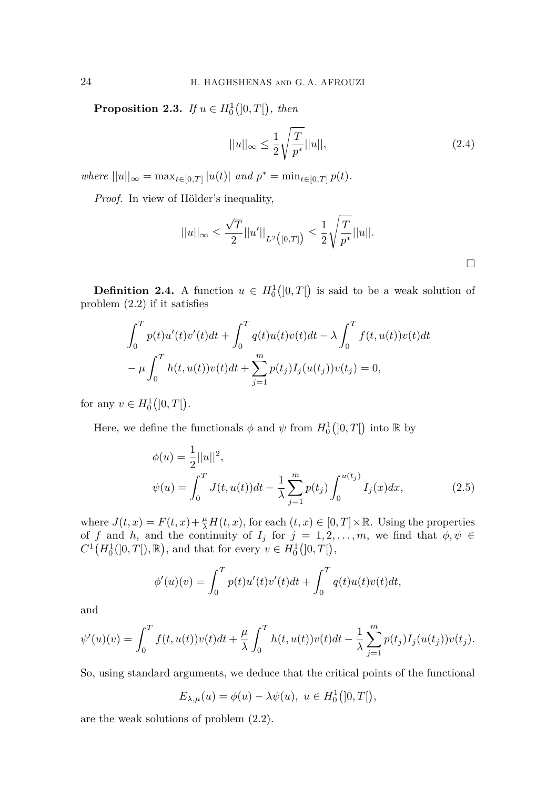**Proposition 2.3.** *If*  $u \in H_0^1([0, T])$ *, then* 

<span id="page-3-1"></span>
$$
||u||_{\infty} \le \frac{1}{2} \sqrt{\frac{T}{p^*}} ||u||,
$$
\n(2.4)

 $where$   $||u||_{\infty} = \max_{t \in [0,T]} |u(t)|$  *and*  $p^* = \min_{t \in [0,T]} p(t)$ *.* 

*Proof.* In view of Hölder's inequality,

$$
||u||_{\infty} \le \frac{\sqrt{T}}{2} ||u'||_{L^2([0,T])} \le \frac{1}{2} \sqrt{\frac{T}{p^*}} ||u||.
$$

**Definition 2.4.** A function  $u \in H_0^1([0,T])$  is said to be a weak solution of problem [\(2.2\)](#page-2-0) if it satisfies

$$
\int_0^T p(t)u'(t)v'(t)dt + \int_0^T q(t)u(t)v(t)dt - \lambda \int_0^T f(t, u(t))v(t)dt
$$
  

$$
-\mu \int_0^T h(t, u(t))v(t)dt + \sum_{j=1}^m p(t_j)I_j(u(t_j))v(t_j) = 0,
$$

for any  $v \in H_0^1([0, T])$ .

Here, we define the functionals  $\phi$  and  $\psi$  from  $H_0^1(]0,T[$  into R by

<span id="page-3-0"></span>
$$
\phi(u) = \frac{1}{2}||u||^2,
$$
  
\n
$$
\psi(u) = \int_0^T J(t, u(t))dt - \frac{1}{\lambda} \sum_{j=1}^m p(t_j) \int_0^{u(t_j)} I_j(x)dx,
$$
\n(2.5)

where  $J(t, x) = F(t, x) + \frac{\mu}{\lambda}H(t, x)$ , for each  $(t, x) \in [0, T] \times \mathbb{R}$ . Using the properties of *f* and *h*, and the continuity of  $I_j$  for  $j = 1, 2, \ldots, m$ , we find that  $\phi, \psi \in$  $C^1(H_0^1(]0,T[),\mathbb{R})$ , and that for every  $v \in H_0^1([0,T[),\mathbb{R})$ ,

$$
\phi'(u)(v) = \int_0^T p(t)u'(t)v'(t)dt + \int_0^T q(t)u(t)v(t)dt,
$$

and

$$
\psi'(u)(v) = \int_0^T f(t, u(t))v(t)dt + \frac{\mu}{\lambda} \int_0^T h(t, u(t))v(t)dt - \frac{1}{\lambda} \sum_{j=1}^m p(t_j)I_j(u(t_j))v(t_j).
$$

So, using standard arguments, we deduce that the critical points of the functional

$$
E_{\lambda,\mu}(u) = \phi(u) - \lambda \psi(u), \ u \in H_0^1([0,T]),
$$

are the weak solutions of problem [\(2.2\)](#page-2-0).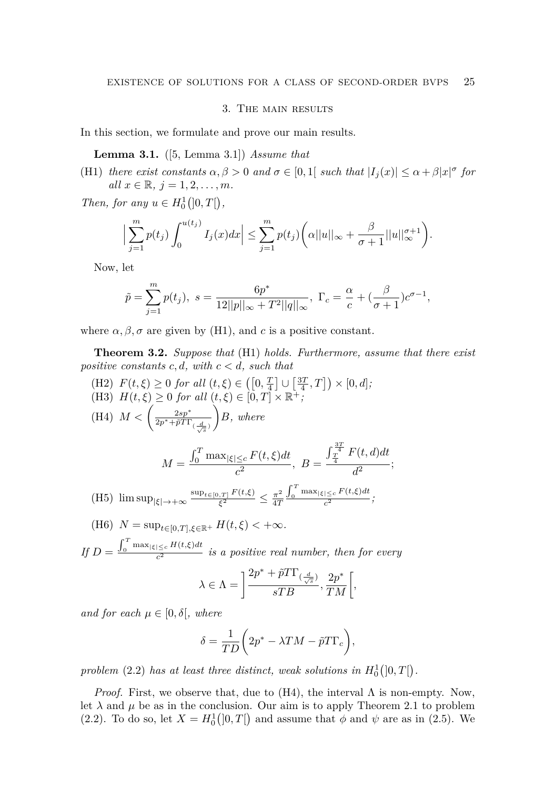## 3. The main results

<span id="page-4-0"></span>In this section, we formulate and prove our main results.

**Lemma 3.1.** ([\[5,](#page-9-6) Lemma 3.1]) *Assume that*

(H1) *there exist constants*  $\alpha, \beta > 0$  *and*  $\sigma \in [0, 1]$  *such that*  $|I_j(x)| \leq \alpha + \beta |x|^{\sigma}$  *for*  $all \ x \in \mathbb{R}, \ j = 1, 2, \ldots, m.$ 

*Then, for any*  $u \in H_0^1([0, T])$ ,

$$
\Big|\sum_{j=1}^m p(t_j) \int_0^{u(t_j)} I_j(x) dx\Big| \leq \sum_{j=1}^m p(t_j) \bigg(\alpha ||u||_{\infty} + \frac{\beta}{\sigma+1} ||u||_{\infty}^{\sigma+1}\bigg).
$$

Now, let

$$
\tilde{p} = \sum_{j=1}^{m} p(t_j), \ s = \frac{6p^*}{12||p||_{\infty} + T^2||q||_{\infty}}, \ \Gamma_c = \frac{\alpha}{c} + (\frac{\beta}{\sigma + 1})c^{\sigma - 1},
$$

<span id="page-4-1"></span>where  $\alpha, \beta, \sigma$  are given by (H1), and c is a positive constant.

**Theorem 3.2.** *Suppose that* (H1) *holds. Furthermore, assume that there exist positive constants c, d, with*  $c < d$ *, such that* 

- (H2)  $F(t,\xi) \ge 0$  *for all*  $(t,\xi) \in ([0,\frac{T}{4}] \cup [\frac{3T}{4},T]) \times [0,d];$ (H3)  $H(t,\xi) \geq 0$  for all  $(t,\xi) \in [0,T] \times \mathbb{R}^+$ ; (H4)  $M < \left(\frac{2sp^*}{2p^*+6T}\right)$  $2p^*+\tilde{p}T\Gamma_{(\frac{d}{\sqrt{s}})}$  $B, where$  $M =$  $\int_0^T \max_{|\xi| \leq c} F(t, \xi) dt$  $\frac{e^{2}}{c^2}$ , *B* =  $\int_{\frac{T}{4}}^{\frac{3T}{4}} F(t, d) dt$  $\overline{d^2}$ ;  $(H5)$   $\limsup_{|\xi| \to +\infty} \frac{\sup_{t \in [0,T]} F(t,\xi)}{\xi^2}$  $\frac{f_{\gamma,T}}{\xi^2}\frac{F(t,\xi)}{\xi^2}\leq \frac{\pi^2}{4T}$ 4*T*  $\int_0^T \max_{|\xi| \leq c} F(t,\xi) dt$  $\frac{e^{2}}{c^{2}}$  ;  $\frac{cos(x)}{x^{2}}$  ;
- (H6)  $N = \sup_{t \in [0,T], \xi \in \mathbb{R}^+} H(t,\xi) < +\infty$ .

 $\iint_D D = \frac{\int_0^T \max_{|\xi| \leq c} H(t,\xi) dt}{c^2}$  $\frac{c_2}{c^2}$  *is a positive real number, then for every* 

$$
\lambda \in \Lambda = \bigg] \frac{2 p^* + \tilde{p} T \Gamma_{(\frac{d}{\sqrt{s}})}}{s T B}, \frac{2 p^*}{T M} \bigg[,
$$

*and for each*  $\mu \in [0, \delta]$ *, where* 

$$
\delta = \frac{1}{TD} \bigg( 2p^* - \lambda TM - \tilde{p}T\Gamma_c \bigg),
$$

problem [\(2.2\)](#page-2-0) has at least three distinct, weak solutions in  $H_0^1(]0,T[$ .

*Proof.* First, we observe that, due to (H4), the interval  $\Lambda$  is non-empty. Now, let  $\lambda$  and  $\mu$  be as in the conclusion. Our aim is to apply Theorem [2.1](#page-1-0) to problem [\(2.2\)](#page-2-0). To do so, let  $X = H_0^1(]0,T[$  and assume that  $\phi$  and  $\psi$  are as in [\(2.5\)](#page-3-0). We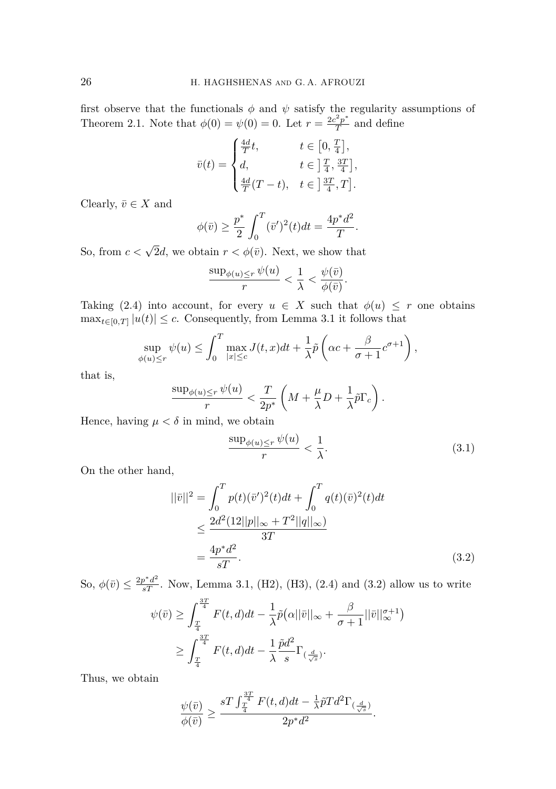first observe that the functionals  $\phi$  and  $\psi$  satisfy the regularity assumptions of Theorem [2.1.](#page-1-0) Note that  $\phi(0) = \psi(0) = 0$ . Let  $r = \frac{2c^2p^*}{T}$  $\frac{TP}{T}$  and define

$$
\bar{v}(t) = \begin{cases} \frac{4d}{T}t, & t \in \left[0, \frac{T}{4}\right], \\ d, & t \in \left]\frac{T}{4}, \frac{3T}{4}\right], \\ \frac{4d}{T}(T-t), & t \in \left]\frac{3T}{4}, T\right]. \end{cases}
$$

Clearly,  $\bar{v} \in X$  and

$$
\phi(\bar{v}) \ge \frac{p^*}{2} \int_0^T (\bar{v}')^2(t)dt = \frac{4p^*d^2}{T}.
$$

So, from  $c < \sqrt{2}d$ , we obtain  $r < \phi(\bar{v})$ . Next, we show that

$$
\frac{\sup_{\phi(u)\leq r} \psi(u)}{r} < \frac{1}{\lambda} < \frac{\psi(\bar{v})}{\phi(\bar{v})}.
$$

Taking [\(2.4\)](#page-3-1) into account, for every  $u \in X$  such that  $\phi(u) \leq r$  one obtains  $\max_{t \in [0,T]} |u(t)| \leq c$ . Consequently, from Lemma [3.1](#page-4-0) it follows that

$$
\sup_{\phi(u)\leq r} \psi(u) \leq \int_0^T \max_{|x|\leq c} J(t,x)dt + \frac{1}{\lambda}\tilde{p}\left(\alpha c + \frac{\beta}{\sigma+1}c^{\sigma+1}\right),
$$

that is,

$$
\frac{\sup_{\phi(u)\leq r} \psi(u)}{r} < \frac{T}{2p^*} \left( M + \frac{\mu}{\lambda} D + \frac{1}{\lambda} \tilde{p} \Gamma_c \right).
$$

Hence, having  $\mu < \delta$  in mind, we obtain

<span id="page-5-1"></span><span id="page-5-0"></span>
$$
\frac{\sup_{\phi(u)\leq r} \psi(u)}{r} < \frac{1}{\lambda}.\tag{3.1}
$$

On the other hand,

$$
||\bar{v}||^2 = \int_0^T p(t)(\bar{v}')^2(t)dt + \int_0^T q(t)(\bar{v})^2(t)dt
$$
  
\n
$$
\leq \frac{2d^2(12||p||_{\infty} + T^2||q||_{\infty})}{3T}
$$
  
\n
$$
= \frac{4p^*d^2}{sT}.
$$
\n(3.2)

So,  $\phi(\bar{v}) \leq \frac{2p^*d^2}{sT}$ . Now, Lemma [3.1,](#page-4-0) (H2), (H3), [\(2.4\)](#page-3-1) and [\(3.2\)](#page-5-0) allow us to write

$$
\psi(\bar{v}) \ge \int_{\frac{T}{4}}^{\frac{3T}{4}} F(t, d)dt - \frac{1}{\lambda} \tilde{p}(\alpha ||\bar{v}||_{\infty} + \frac{\beta}{\sigma + 1} ||\bar{v}||_{\infty}^{\sigma + 1})
$$
  

$$
\ge \int_{\frac{T}{4}}^{\frac{3T}{4}} F(t, d)dt - \frac{1}{\lambda} \frac{\tilde{p}d^2}{s} \Gamma_{(\frac{d}{\sqrt{s}})}.
$$

Thus, we obtain

$$
\frac{\psi(\bar{v})}{\phi(\bar{v})} \ge \frac{sT\int_{\frac{T}{4}}^{\frac{3T}{4}} F(t,d)dt - \frac{1}{\lambda}\tilde{p}Td^2\Gamma_{(\frac{d}{\sqrt{s}})}}{2p^*d^2}.
$$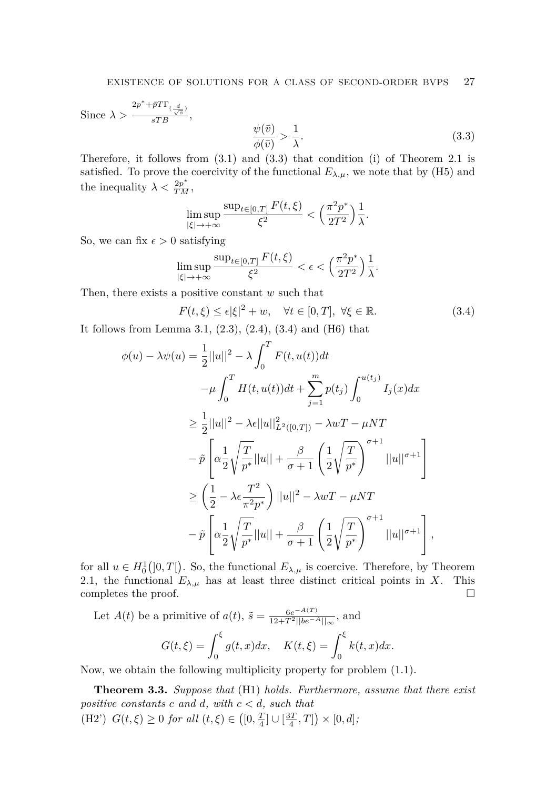Since  $\lambda >$  $\frac{2p^* + \tilde{p}T\Gamma_{(\frac{d}{\sqrt{s}})}}{sTB},$  $\psi(\bar{v})$  $\frac{\psi(\bar{v})}{\phi(\bar{v})} > \frac{1}{\lambda}$ *λ .* (3.3)

Therefore, it follows from [\(3.1\)](#page-5-1) and [\(3.3\)](#page-6-0) that condition (i) of Theorem [2.1](#page-1-0) is satisfied. To prove the coercivity of the functional  $E_{\lambda,\mu}$ , we note that by (H5) and the inequality  $\lambda < \frac{2p^*}{TM}$ ,

<span id="page-6-0"></span>
$$
\limsup_{|\xi|\to+\infty}\frac{\sup_{t\in[0,T]}F(t,\xi)}{\xi^2}<\left(\frac{\pi^2p^*}{2T^2}\right)\frac{1}{\lambda}.
$$

So, we can fix  $\epsilon > 0$  satisfying

$$
\limsup_{|\xi| \to +\infty} \frac{\sup_{t \in [0,T]} F(t,\xi)}{\xi^2} < \epsilon < \left(\frac{\pi^2 p^*}{2T^2}\right) \frac{1}{\lambda}.
$$

Then, there exists a positive constant *w* such that

<span id="page-6-1"></span>
$$
F(t,\xi) \le \epsilon |\xi|^2 + w, \quad \forall t \in [0,T], \ \forall \xi \in \mathbb{R}.
$$
 (3.4)

It follows from Lemma [3.1,](#page-4-0) [\(2.3\)](#page-2-1), [\(2.4\)](#page-3-1), [\(3.4\)](#page-6-1) and (H6) that

$$
\phi(u) - \lambda \psi(u) = \frac{1}{2} ||u||^2 - \lambda \int_0^T F(t, u(t)) dt \n- \mu \int_0^T H(t, u(t)) dt + \sum_{j=1}^m p(t_j) \int_0^{u(t_j)} I_j(x) dx \n\geq \frac{1}{2} ||u||^2 - \lambda \epsilon ||u||_{L^2([0, T])}^2 - \lambda wT - \mu NT \n- \tilde{p} \left[ \alpha \frac{1}{2} \sqrt{\frac{T}{p^*}} ||u|| + \frac{\beta}{\sigma + 1} \left( \frac{1}{2} \sqrt{\frac{T}{p^*}} \right)^{\sigma + 1} ||u||^{\sigma + 1} \right] \n\geq \left( \frac{1}{2} - \lambda \epsilon \frac{T^2}{\pi^2 p^*} \right) ||u||^2 - \lambda wT - \mu NT \n- \tilde{p} \left[ \alpha \frac{1}{2} \sqrt{\frac{T}{p^*}} ||u|| + \frac{\beta}{\sigma + 1} \left( \frac{1}{2} \sqrt{\frac{T}{p^*}} \right)^{\sigma + 1} ||u||^{\sigma + 1} \right],
$$

for all  $u \in H_0^1([0,T])$ . So, the functional  $E_{\lambda,\mu}$  is coercive. Therefore, by Theorem [2.1,](#page-1-0) the functional  $E_{\lambda,\mu}$  has at least three distinct critical points in *X*. This completes the proof.  $\hfill \square$ 

Let  $A(t)$  be a primitive of  $a(t)$ ,  $\tilde{s} = \frac{6e^{-A(T)}}{12 + T^2 \ln(e^{-t})}$  $\frac{6e^{-H(1)}}{12+T^2||be^{-A}||_{\infty}},$  and

$$
G(t,\xi) = \int_0^{\xi} g(t,x)dx, \quad K(t,\xi) = \int_0^{\xi} k(t,x)dx.
$$

Now, we obtain the following multiplicity property for problem [\(1.1\)](#page-0-0).

**Theorem 3.3.** *Suppose that* (H1) *holds. Furthermore, assume that there exist positive constants c and d, with c < d, such that* (H2')  $G(t, \xi) \ge 0$  *for all*  $(t, \xi) \in ([0, \frac{T}{4}] \cup [\frac{3T}{4}, T]) \times [0, d];$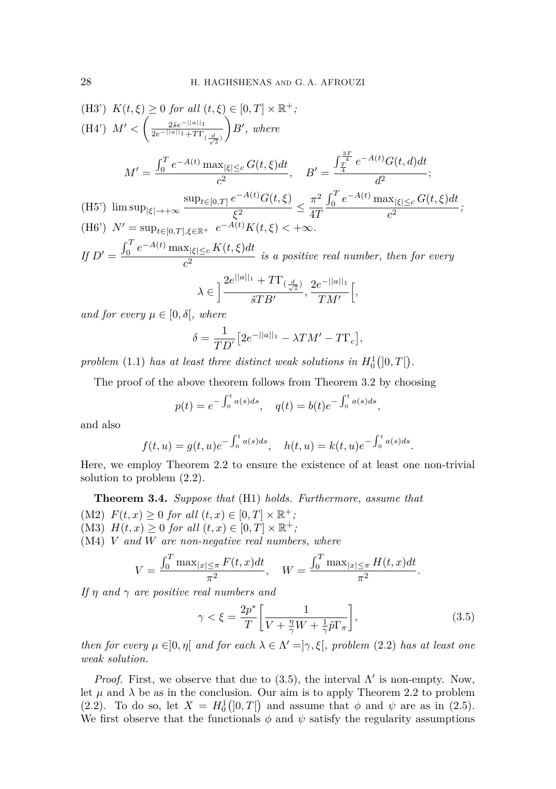(H3') 
$$
K(t,\xi) \ge 0 \text{ for all } (t,\xi) \in [0,T] \times \mathbb{R}^+;
$$
  
\n(H4') 
$$
M' < \left(\frac{2\tilde{s}e^{-||a||_1}}{2e^{-||a||_1 + T\Gamma}(\frac{d}{\sqrt{\tilde{s}}})}\right)B', \text{ where}
$$
  
\n
$$
M' = \frac{\int_0^T e^{-A(t)} \max_{|\xi| \le c} G(t,\xi)dt}{c^2}, \quad B' = \frac{\int_{\frac{T}{4}}^{\frac{3T}{4}} e^{-A(t)} G(t,d)dt}{d^2};
$$
  
\n(H5') 
$$
\limsup_{|\xi| \to +\infty} \frac{\sup_{t \in [0,T]} e^{-A(t)} G(t,\xi)}{\xi^2} \le \frac{\pi^2}{4T} \frac{\int_0^T e^{-A(t)} \max_{|\xi| \le c} G(t,\xi)dt}{c^2};
$$
  
\n(H6') 
$$
N' = \sup_{t \in [0,T], \xi \in \mathbb{R}^+} e^{-A(t)} K(t,\xi) < +\infty.
$$
  
\nIf 
$$
D' = \frac{\int_0^T e^{-A(t)} \max_{|\xi| \le c} K(t,\xi)dt}{c^2} \text{ is a positive real number, then for every}
$$

$$
\lambda \in \Big]\frac{2e^{||a||_1} + T\Gamma_{(\frac{d}{\sqrt{s}})}}{\tilde{s}TB'}, \frac{2e^{-||a||_1}}{TM'}\Big[,
$$

*and for every*  $\mu \in [0, \delta]$ *, where* 

$$
\delta = \frac{1}{TD'} \left[ 2e^{-||a||_1} - \lambda TM' - T\Gamma_c \right],
$$

problem [\(1.1\)](#page-0-0) has at least three distinct weak solutions in  $H_0^1(]0,T[$ .

The proof of the above theorem follows from Theorem [3.2](#page-4-1) by choosing

$$
p(t) = e^{-\int_0^t a(s)ds}
$$
,  $q(t) = b(t)e^{-\int_0^t a(s)ds}$ ,

and also

$$
f(t, u) = g(t, u)e^{-\int_0^t a(s)ds}
$$
,  $h(t, u) = k(t, u)e^{-\int_0^t a(s)ds}$ .

Here, we employ Theorem [2.2](#page-2-2) to ensure the existence of at least one non-trivial solution to problem [\(2.2\)](#page-2-0).

<span id="page-7-1"></span>**Theorem 3.4.** *Suppose that* (H1) *holds. Furthermore, assume that*

- (M2)  $F(t, x) \ge 0$  *for all*  $(t, x) \in [0, T] \times \mathbb{R}^+$ ;
- (M3)  $H(t, x) \ge 0$  *for all*  $(t, x) \in [0, T] \times \mathbb{R}^+$ ;

(M4) *V and W are non-negative real numbers, where*

$$
V = \frac{\int_0^T \max_{|x| \le \pi} F(t, x) dt}{\pi^2}, \quad W = \frac{\int_0^T \max_{|x| \le \pi} H(t, x) dt}{\pi^2}.
$$

*If η and γ are positive real numbers and*

<span id="page-7-0"></span>
$$
\gamma < \xi = \frac{2p^*}{T} \left[ \frac{1}{V + \frac{\eta}{\gamma} W + \frac{1}{\gamma} \tilde{p} \Gamma_\pi} \right],\tag{3.5}
$$

*then for every*  $\mu \in ]0, \eta[$  *and for each*  $\lambda \in \Lambda' = ]\gamma, \xi[$ , problem [\(2.2\)](#page-2-0) *has at least one weak solution.*

*Proof.* First, we observe that due to [\(3.5\)](#page-7-0), the interval  $\Lambda'$  is non-empty. Now, let  $\mu$  and  $\lambda$  be as in the conclusion. Our aim is to apply Theorem [2.2](#page-2-2) to problem [\(2.2\)](#page-2-0). To do so, let  $X = H_0^1(0,T[)$  and assume that  $\phi$  and  $\psi$  are as in [\(2.5\)](#page-3-0). We first observe that the functionals  $\phi$  and  $\psi$  satisfy the regularity assumptions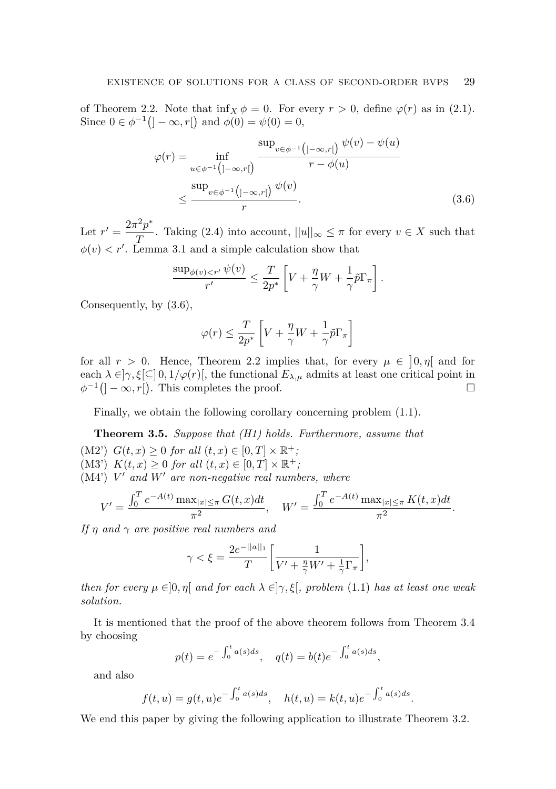of Theorem [2.2.](#page-2-2) Note that  $\inf_X \phi = 0$ . For every  $r > 0$ , define  $\varphi(r)$  as in [\(2.1\)](#page-2-3). Since  $0 \in \phi^{-1}([-\infty, r])$  and  $\phi(0) = \psi(0) = 0$ ,

$$
\varphi(r) = \inf_{u \in \phi^{-1}\left(]-\infty, r[\right)} \frac{\sup_{v \in \phi^{-1}\left(]-\infty, r[\right)} \psi(v) - \psi(u)}{r - \phi(u)}
$$

$$
\leq \frac{\sup_{v \in \phi^{-1}\left(]-\infty, r[\right)} \psi(v)}{r}.
$$
(3.6)

Let  $r' = \frac{2\pi^2 p^*}{T}$ *T*. Taking [\(2.4\)](#page-3-1) into account,  $||u||_{\infty} \leq \pi$  for every  $v \in X$  such that  $\phi(v) < r'$ . Lemma [3.1](#page-4-0) and a simple calculation show that

$$
\frac{\sup_{\phi(v) < r'} \psi(v)}{r'} \le \frac{T}{2p^*} \left[ V + \frac{\eta}{\gamma} W + \frac{1}{\gamma} \tilde{p} \Gamma_\pi \right].
$$

Consequently, by [\(3.6\)](#page-8-0),

<span id="page-8-0"></span>
$$
\varphi(r) \leq \frac{T}{2p^*} \left[ V + \frac{\eta}{\gamma} W + \frac{1}{\gamma} \bar{p} \Gamma_\pi \right]
$$

for all  $r > 0$ . Hence, Theorem [2.2](#page-2-2) implies that, for every  $\mu \in [0, \eta]$  and for each  $\lambda \in ]\gamma, \xi[\subseteq] 0, 1/\varphi(r)[$ , the functional  $E_{\lambda,\mu}$  admits at least one critical point in  $\phi^{-1}([-\infty, r])$ . This completes the proof. □

Finally, we obtain the following corollary concerning problem [\(1.1\)](#page-0-0).

**Theorem 3.5.** *Suppose that (H1) holds. Furthermore, assume that* (M2')  $G(t, x) \geq 0$  *for all*  $(t, x) \in [0, T] \times \mathbb{R}^+$ ; (M3')  $K(t, x) \geq 0$  *for all*  $(t, x) \in [0, T] \times \mathbb{R}^+$ ; (M4') *V* ′ *and W*′ *are non-negative real numbers, where*

$$
V' = \frac{\int_0^T e^{-A(t)} \max_{|x| \le \pi} G(t, x) dt}{\pi^2}, \quad W' = \frac{\int_0^T e^{-A(t)} \max_{|x| \le \pi} K(t, x) dt}{\pi^2}.
$$

*If η and γ are positive real numbers and*

$$
\gamma < \xi = \frac{2e^{-||a||_1}}{T} \left[ \frac{1}{V' + \frac{\eta}{\gamma} W' + \frac{1}{\gamma} \Gamma_\pi} \right],
$$

*then for every*  $\mu \in ]0, \eta[$  *and for each*  $\lambda \in ]\gamma, \xi[$ , problem [\(1.1\)](#page-0-0) *has at least one weak solution.*

It is mentioned that the proof of the above theorem follows from Theorem [3.4](#page-7-1) by choosing

$$
p(t) = e^{-\int_0^t a(s)ds}
$$
,  $q(t) = b(t)e^{-\int_0^t a(s)ds}$ ,

and also

$$
f(t, u) = g(t, u)e^{-\int_0^t a(s)ds}
$$
,  $h(t, u) = k(t, u)e^{-\int_0^t a(s)ds}$ .

We end this paper by giving the following application to illustrate Theorem [3.2.](#page-4-1)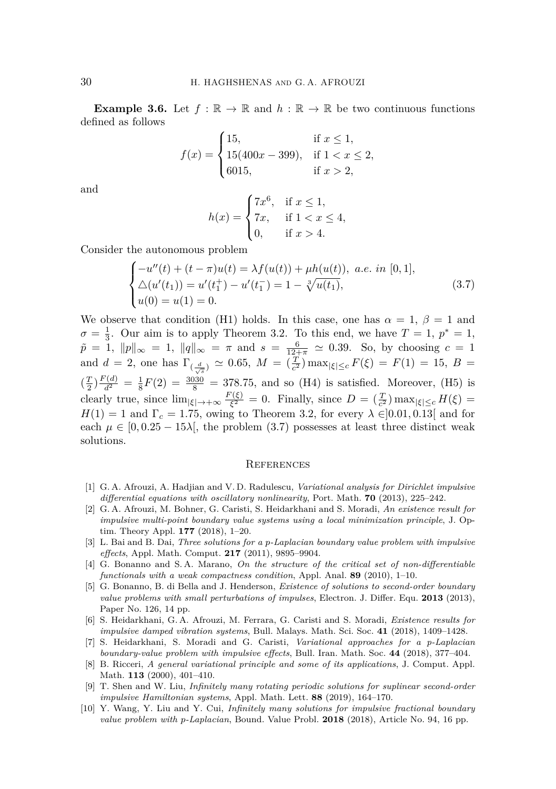**Example 3.6.** Let  $f : \mathbb{R} \to \mathbb{R}$  and  $h : \mathbb{R} \to \mathbb{R}$  be two continuous functions defined as follows

$$
f(x) = \begin{cases} 15, & \text{if } x \le 1, \\ 15(400x - 399), & \text{if } 1 < x \le 2, \\ 6015, & \text{if } x > 2, \end{cases}
$$

and

$$
h(x) = \begin{cases} 7x^6, & \text{if } x \le 1, \\ 7x, & \text{if } 1 < x \le 4, \\ 0, & \text{if } x > 4. \end{cases}
$$

Consider the autonomous problem

<span id="page-9-10"></span>
$$
\begin{cases}\n-u''(t) + (t - \pi)u(t) = \lambda f(u(t)) + \mu h(u(t)), \ a.e. \ in [0, 1], \\
\Delta(u'(t_1)) = u'(t_1^+) - u'(t_1^-) = 1 - \sqrt[3]{u(t_1)}, \\
u(0) = u(1) = 0.\n\end{cases}
$$
\n(3.7)

We observe that condition (H1) holds. In this case, one has  $\alpha = 1, \beta = 1$  and  $\sigma = \frac{1}{3}$ . Our aim is to apply Theorem [3.2.](#page-4-1) To this end, we have  $T = 1$ ,  $p^* = 1$ ,  $\tilde{p} = 1$ ,  $||p||_{\infty} = 1$ ,  $||q||_{\infty} = \pi$  and  $s = \frac{6}{12+\pi} \approx 0.39$ . So, by choosing  $c = 1$ and  $d = 2$ , one has  $\Gamma_{(\frac{d}{\sqrt{s}})} \simeq 0.65$ ,  $M = (\frac{T}{c^2}) \max_{|\xi| \leq c} F(\xi) = F(1) = 15$ ,  $B =$  $(\frac{T}{2}) \frac{F(d)}{d^2} = \frac{1}{8} F(2) = \frac{3030}{8} = 378.75$ , and so (H4) is satisfied. Moreover, (H5) is clearly true, since  $\lim_{|\xi| \to +\infty} \frac{F(\xi)}{\xi^2}$  $\frac{\partial^2(\xi)}{\partial \xi^2} = 0$ . Finally, since  $D = \left(\frac{T}{c^2}\right) \max_{|\xi| \leq c} H(\xi) =$  $H(1) = 1$  and  $\Gamma_c = 1.75$ , owing to Theorem [3.2,](#page-4-1) for every  $\lambda \in ]0.01, 0.13]$  and for each  $\mu \in [0, 0.25 - 15\lambda]$ , the problem [\(3.7\)](#page-9-10) possesses at least three distinct weak solutions.

#### <span id="page-9-0"></span>**REFERENCES**

- <span id="page-9-5"></span>[1] G. A. Afrouzi, A. Hadjian and V. D. Radulescu, *Variational analysis for Dirichlet impulsive differential equations with oscillatory nonlinearity*, Port. Math. **70** (2013), 225–242.
- <span id="page-9-1"></span>[2] G. A. Afrouzi, M. Bohner, G. Caristi, S. Heidarkhani and S. Moradi, *An existence result for impulsive multi-point boundary value systems using a local minimization principle*, J. Optim. Theory Appl. **177** (2018), 1–20.
- <span id="page-9-2"></span>[3] L. Bai and B. Dai, *Three solutions for a p-Laplacian boundary value problem with impulsive effects*, Appl. Math. Comput. **217** (2011), 9895–9904.
- <span id="page-9-8"></span>[4] G. Bonanno and S. A. Marano, *On the structure of the critical set of non-differentiable functionals with a weak compactness condition*, Appl. Anal. **89** (2010), 1–10.
- <span id="page-9-6"></span>[5] G. Bonanno, B. di Bella and J. Henderson, *Existence of solutions to second-order boundary value problems with small perturbations of impulses*, Electron. J. Differ. Equ. **2013** (2013), Paper No. 126, 14 pp.
- <span id="page-9-7"></span>[6] S. Heidarkhani, G. A. Afrouzi, M. Ferrara, G. Caristi and S. Moradi, *Existence results for impulsive damped vibration systems*, Bull. Malays. Math. Sci. Soc. **41** (2018), 1409–1428.
- <span id="page-9-3"></span>[7] S. Heidarkhani, S. Moradi and G. Caristi, *Variational approaches for a p-Laplacian boundary-value problem with impulsive effects*, Bull. Iran. Math. Soc. **44** (2018), 377–404.
- <span id="page-9-9"></span>[8] B. Ricceri, *A general variational principle and some of its applications*, J. Comput. Appl. Math. **113** (2000), 401–410.
- <span id="page-9-4"></span>[9] T. Shen and W. Liu, *Infinitely many rotating periodic solutions for suplinear second-order impulsive Hamiltonian systems*, Appl. Math. Lett. **88** (2019), 164–170.
- [10] Y. Wang, Y. Liu and Y. Cui, *Infinitely many solutions for impulsive fractional boundary value problem with p-Laplacian*, Bound. Value Probl. **2018** (2018), Article No. 94, 16 pp.